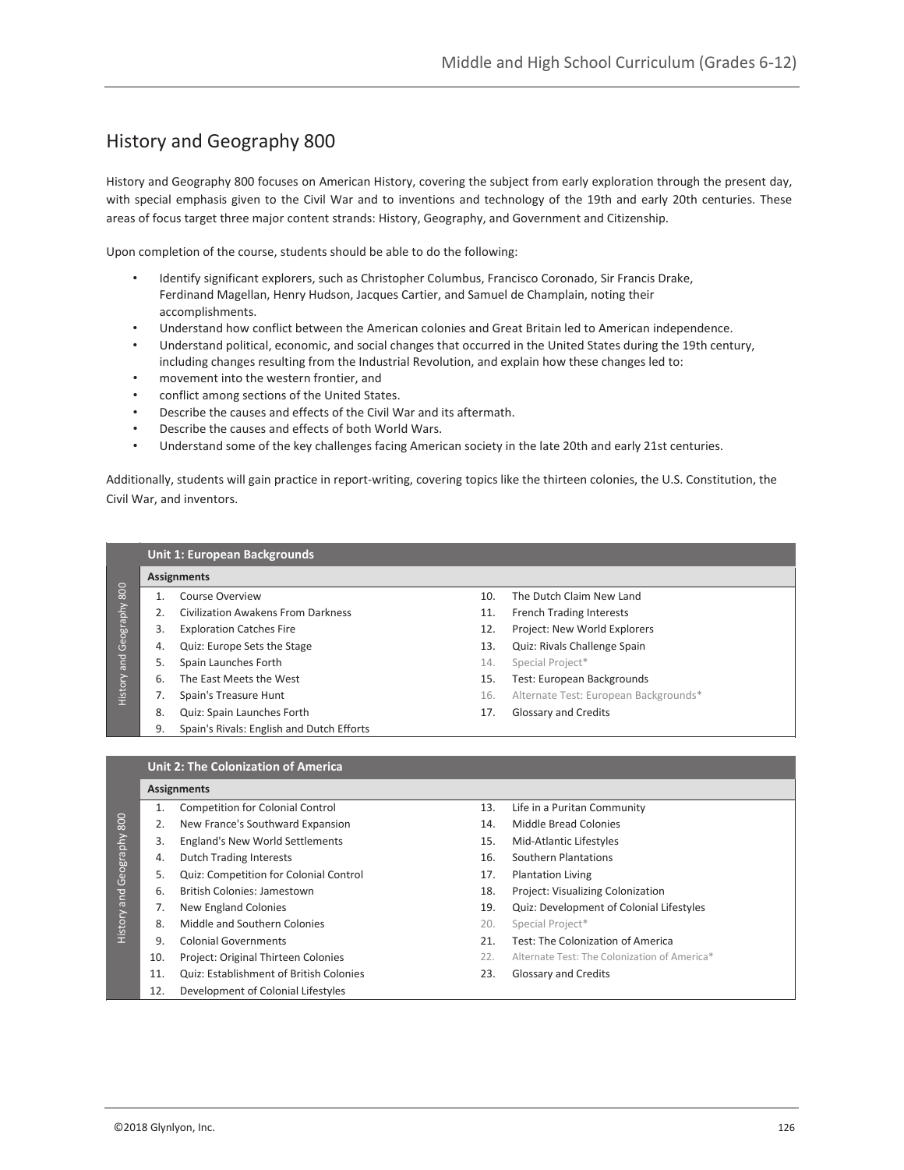# History and Geography 800

History and Geography 800 focuses on American History, covering the subject from early exploration through the present day, with special emphasis given to the Civil War and to inventions and technology of the 19th and early 20th centuries. These areas of focus target three major content strands: History, Geography, and Government and Citizenship.

Upon completion of the course, students should be able to do the following:

- Identify significant explorers, such as Christopher Columbus, Francisco Coronado, Sir Francis Drake, Ferdinand Magellan, Henry Hudson, Jacques Cartier, and Samuel de Champlain, noting their accomplishments.
- Understand how conflict between the American colonies and Great Britain led to American independence.
- Understand political, economic, and social changes that occurred in the United States during the 19th century, including changes resulting from the Industrial Revolution, and explain how these changes led to:
- movement into the western frontier, and
- conflict among sections of the United States.
- Describe the causes and effects of the Civil War and its aftermath.
- Describe the causes and effects of both World Wars.
- Understand some of the key challenges facing American society in the late 20th and early 21st centuries.

Additionally, students will gain practice in report-writing, covering topics like the thirteen colonies, the U.S. Constitution, the Civil War, and inventors.

|           | <b>Unit 1: European Backgrounds</b> |                                           |     |                                       |  |  |
|-----------|-------------------------------------|-------------------------------------------|-----|---------------------------------------|--|--|
| 800       | <b>Assignments</b>                  |                                           |     |                                       |  |  |
|           |                                     | Course Overview                           | 10. | The Dutch Claim New Land              |  |  |
|           |                                     | Civilization Awakens From Darkness        | 11. | <b>French Trading Interests</b>       |  |  |
| Geography | 3.                                  | <b>Exploration Catches Fire</b>           | 12. | Project: New World Explorers          |  |  |
|           | 4.                                  | Quiz: Europe Sets the Stage               | 13. | Quiz: Rivals Challenge Spain          |  |  |
| and       | 5.                                  | Spain Launches Forth                      | 14. | Special Project*                      |  |  |
| History   | 6.                                  | The East Meets the West                   | 15. | Test: European Backgrounds            |  |  |
|           |                                     | Spain's Treasure Hunt                     | 16. | Alternate Test: European Backgrounds* |  |  |
|           | 8.                                  | Quiz: Spain Launches Forth                | 17. | <b>Glossary and Credits</b>           |  |  |
|           | 9.                                  | Spain's Rivals: English and Dutch Efforts |     |                                       |  |  |
|           |                                     |                                           |     |                                       |  |  |

#### **Unit 2: The Colonization of America**

#### **Assignments**

| 800<br>Geography<br>History and | 1.  | Competition for Colonial Control               | 13. | Life in a Puritan Community                  |
|---------------------------------|-----|------------------------------------------------|-----|----------------------------------------------|
|                                 |     | New France's Southward Expansion               | 14. | Middle Bread Colonies                        |
|                                 | 3.  | England's New World Settlements                | 15. | Mid-Atlantic Lifestyles                      |
|                                 | 4.  | <b>Dutch Trading Interests</b>                 | 16. | Southern Plantations                         |
|                                 | 5.  | Quiz: Competition for Colonial Control         | 17. | <b>Plantation Living</b>                     |
|                                 | 6.  | British Colonies: Jamestown                    | 18. | Project: Visualizing Colonization            |
|                                 | 7.  | New England Colonies                           | 19. | Quiz: Development of Colonial Lifestyles     |
|                                 | 8.  | Middle and Southern Colonies                   | 20. | Special Project*                             |
|                                 | 9.  | <b>Colonial Governments</b>                    | 21. | Test: The Colonization of America            |
|                                 | 10. | Project: Original Thirteen Colonies            | 22. | Alternate Test: The Colonization of America* |
|                                 | 11. | <b>Quiz: Establishment of British Colonies</b> | 23. | Glossary and Credits                         |
|                                 | 12. | Development of Colonial Lifestyles             |     |                                              |
|                                 |     |                                                |     |                                              |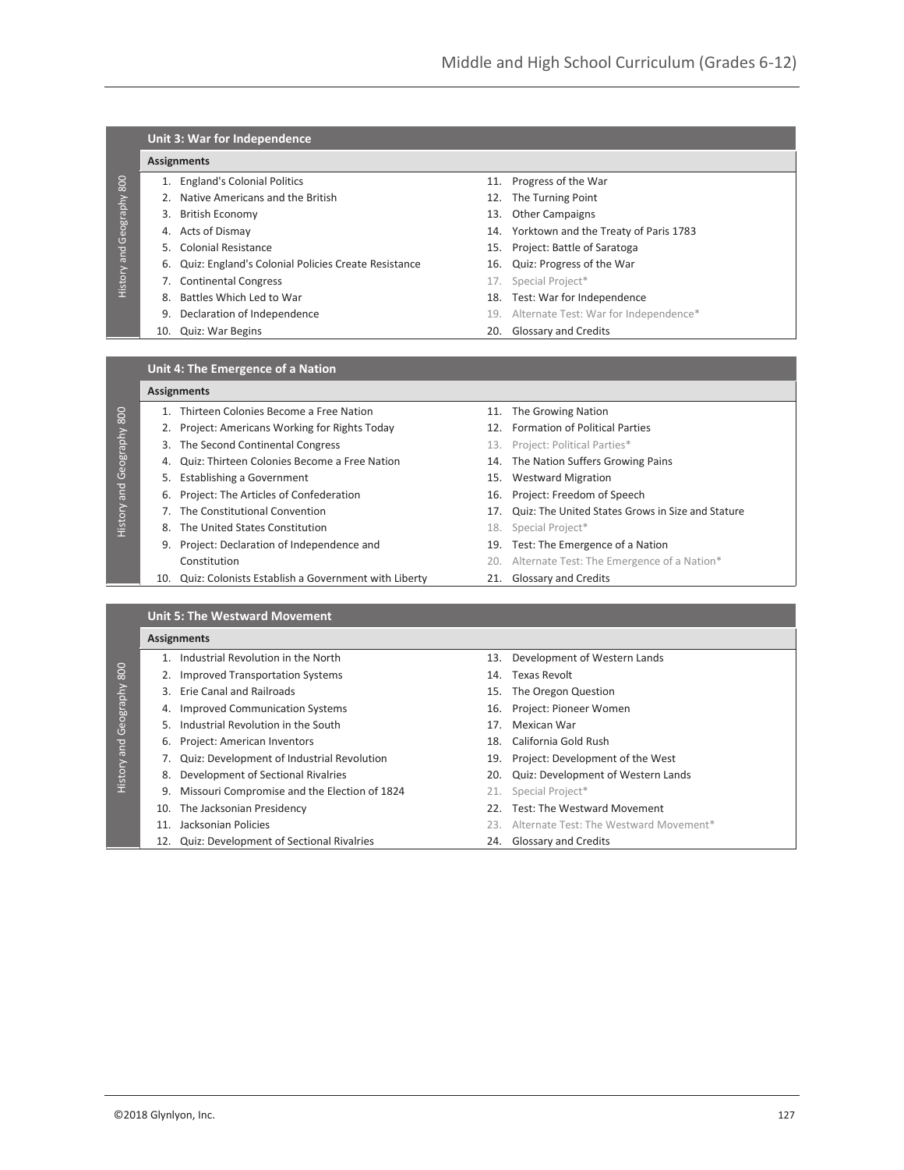|  |  | Unit 3: War for Independence |
|--|--|------------------------------|
|--|--|------------------------------|

## **Assignments**

History and Geography 800

History and Geography 800

History and Geography 800

History and Geography 800

History and Geography 800

History and Geography 800

- 
- 2. Native Americans and the British 12. The Turning Point
- 
- 
- 
- 6. Quiz: England's Colonial Policies Create Resistance 16. Quiz: Progress of the War
- **7. Continental Congress** 17. Special Project<sup>\*</sup>
- 
- 
- 
- 1. England's Colonial Politics 11. Progress of the War
	-
- 3. British Economy 13. Other Campaigns
- 4. Acts of Dismay 14. Yorktown and the Treaty of Paris 1783
- 5. Colonial Resistance 15. Project: Battle of Saratoga
	-
	-
- 8. Battles Which Led to War 18. Test: War for Independence
- 9. Declaration of Independence 19. Alternate Test: War for Independence\*
- 10. Quiz: War Begins 20. Glossary and Credits

#### **Unit 4: The Emergence of a Nation**

#### **Assignments**

- 1. Thirteen Colonies Become a Free Nation 11. The Growing Nation
- 2. Project: Americans Working for Rights Today 12. Formation of Political Parties
- 3. The Second Continental Congress 13. Project: Political Parties\*
- 4. Quiz: Thirteen Colonies Become a Free Nation 14. The Nation Suffers Growing Pains
- 5. Establishing a Government 15. Westward Migration
- 6. Project: The Articles of Confederation 16. Project: Freedom of Speech
- 
- 8. The United States Constitution 18. Special Project\*
- 9. Project: Declaration of Independence and 19. Test: The Emergence of a Nation
- 10. Quiz: Colonists Establish a Government with Liberty 21. Glossary and Credits
- 
- 
- 
- 
- 
- 
- 7. The Constitutional Convention 17. Quiz: The United States Grows in Size and Stature
	-
	-
	- Constitution 20. Alternate Test: The Emergence of a Nation\*
		-

## **Unit 5: The Westward Movement**

# **Assignments**

- 3. Erie Canal and Railroads 15. The Oregon Question
- 
- 4. Improved Communication Systems 16. Project: Pioneer Women
	- 5. Industrial Revolution in the South 17. Mexican War
	-
- 7. Quiz: Development of Industrial Revolution 19. Project: Development of the West
- 
- 9. Missouri Compromise and the Election of 1824 21. Special Project\*
- 
- 
- 1. Industrial Revolution in the North 13. Development of Western Lands
- 2. Improved Transportation Systems 14. Texas Revolt
	-
	-
	-
- 6. Project: American Inventors 18. California Gold Rush
	-
- 8. Development of Sectional Rivalries 20. Quiz: Development of Western Lands
	-
- 10. The Jacksonian Presidency 22. Test: The Westward Movement
- 11. Jacksonian Policies 23. Alternate Test: The Westward Movement\*
- 12. Quiz: Development of Sectional Rivalries 24. Glossary and Credits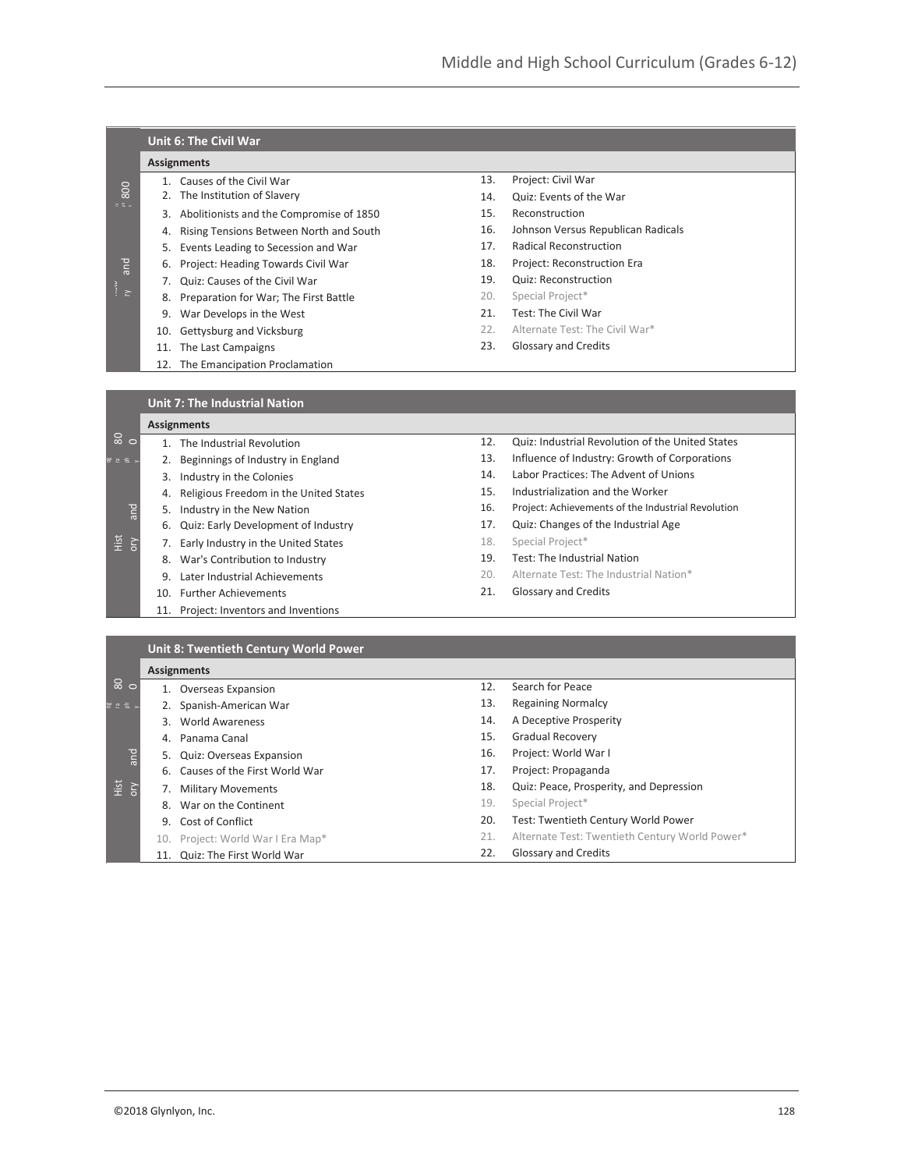|                    | <b>Unit 6: The Civil War</b>                 |                                             |     |                                                    |  |
|--------------------|----------------------------------------------|---------------------------------------------|-----|----------------------------------------------------|--|
|                    | <b>Assignments</b>                           |                                             |     |                                                    |  |
| 800<br>eE<br>pue   |                                              | 1. Causes of the Civil War                  | 13. | Project: Civil War                                 |  |
|                    |                                              | 2. The Institution of Slavery               | 14. | Quiz: Events of the War                            |  |
|                    |                                              | 3. Abolitionists and the Compromise of 1850 | 15. | Reconstruction                                     |  |
|                    |                                              | 4. Rising Tensions Between North and South  | 16. | Johnson Versus Republican Radicals                 |  |
|                    |                                              | 5. Events Leading to Secession and War      | 17. | Radical Reconstruction                             |  |
|                    | 6.                                           | Project: Heading Towards Civil War          | 18. | Project: Reconstruction Era                        |  |
|                    |                                              | 7. Quiz: Causes of the Civil War            | 19. | Quiz: Reconstruction                               |  |
| $\frac{1}{\gamma}$ |                                              | 8. Preparation for War; The First Battle    | 20. | Special Project*                                   |  |
|                    |                                              | 9. War Develops in the West                 | 21. | Test: The Civil War                                |  |
|                    |                                              | 10. Gettysburg and Vicksburg                | 22. | Alternate Test: The Civil War*                     |  |
|                    |                                              | 11. The Last Campaigns                      | 23. | Glossary and Credits                               |  |
|                    |                                              | 12. The Emancipation Proclamation           |     |                                                    |  |
|                    |                                              |                                             |     |                                                    |  |
|                    |                                              | <b>Unit 7: The Industrial Nation</b>        |     |                                                    |  |
|                    |                                              | <b>Assignments</b>                          |     |                                                    |  |
| $\frac{1}{8}$ o    |                                              | 1. The Industrial Revolution                | 12. | Quiz: Industrial Revolution of the United States   |  |
| ' ೭ ೯              | 2.                                           | Beginnings of Industry in England           | 13. | Influence of Industry: Growth of Corporations      |  |
|                    |                                              | 3. Industry in the Colonies                 | 14. | Labor Practices: The Advent of Unions              |  |
|                    |                                              | 4. Religious Freedom in the United States   | 15. | Industrialization and the Worker                   |  |
|                    |                                              | 5. Industry in the New Nation               | 16. | Project: Achievements of the Industrial Revolution |  |
|                    | 6.                                           | Quiz: Early Development of Industry         | 17. | Quiz: Changes of the Industrial Age                |  |
| Ηist<br>orγ        |                                              | 7. Early Industry in the United States      | 18. | Special Project*                                   |  |
|                    |                                              | 8. War's Contribution to Industry           | 19. | Test: The Industrial Nation                        |  |
|                    |                                              | 9. Later Industrial Achievements            | 20. | Alternate Test: The Industrial Nation*             |  |
|                    |                                              | 10. Further Achievements                    | 21. | Glossary and Credits                               |  |
|                    |                                              | 11. Project: Inventors and Inventions       |     |                                                    |  |
|                    |                                              |                                             |     |                                                    |  |
|                    | <b>Unit 8: Twentieth Century World Power</b> |                                             |     |                                                    |  |
|                    | <b>Assignments</b>                           |                                             |     |                                                    |  |
| $\frac{8}{9}$      |                                              | 1. Overseas Expansion                       | 12. | Search for Peace                                   |  |
| 25                 |                                              | 2. Spanish-American War                     | 13. | <b>Regaining Normalcy</b>                          |  |
|                    |                                              | 3. World Awareness                          | 14. | A Deceptive Prosperity                             |  |
|                    |                                              | 4. Panama Canal                             | 15. | Gradual Recovery                                   |  |
| ano                | 5.                                           | Quiz: Overseas Expansion                    | 16. | Project: World War I                               |  |
|                    |                                              | 6. Causes of the First World War            | 17. | Project: Propaganda                                |  |

18. Quiz: Peace, Prosperity, and Depression

19. Special Project\*

- 20. Test: Twentieth Century World Power
- 21. Alternate Test: Twentieth Century World Power\*

22. Glossary and Credits

Hist ory

7. Military Movements 8. War on the Continent 9. Cost of Conflict

10. Project: World War I Era Map\* 11. Quiz: The First World War